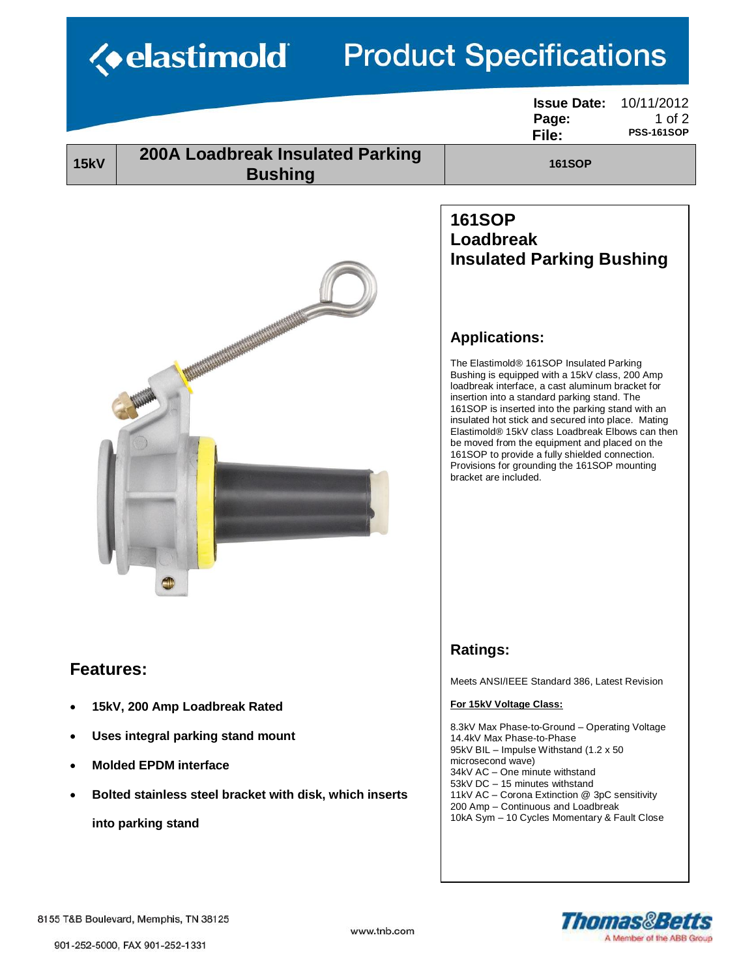| <b>Product Specifications</b><br><b>Example 18</b>                                                                                                                                                      |                                                                                                                                                                                                                                                                                                                                                                                                                                                                                                                                                                                                                                            |  |  |
|---------------------------------------------------------------------------------------------------------------------------------------------------------------------------------------------------------|--------------------------------------------------------------------------------------------------------------------------------------------------------------------------------------------------------------------------------------------------------------------------------------------------------------------------------------------------------------------------------------------------------------------------------------------------------------------------------------------------------------------------------------------------------------------------------------------------------------------------------------------|--|--|
|                                                                                                                                                                                                         | <b>Issue Date:</b><br>10/11/2012<br>$1$ of $2$<br>Page:<br><b>PSS-161SOP</b><br>File:                                                                                                                                                                                                                                                                                                                                                                                                                                                                                                                                                      |  |  |
| <b>200A Loadbreak Insulated Parking</b><br><b>15kV</b><br><b>Bushing</b>                                                                                                                                | <b>161SOP</b>                                                                                                                                                                                                                                                                                                                                                                                                                                                                                                                                                                                                                              |  |  |
|                                                                                                                                                                                                         | <b>161SOP</b><br><b>Loadbreak</b><br><b>Insulated Parking Bushing</b><br><b>Applications:</b><br>The Elastimold® 161SOP Insulated Parking<br>Bushing is equipped with a 15kV class, 200 Amp<br>loadbreak interface, a cast aluminum bracket for<br>insertion into a standard parking stand. The<br>161SOP is inserted into the parking stand with an<br>insulated hot stick and secured into place. Mating<br>Elastimold® 15kV class Loadbreak Elbows can then<br>be moved from the equipment and placed on the<br>161SOP to provide a fully shielded connection.<br>Provisions for grounding the 161SOP mounting<br>bracket are included. |  |  |
| <b>Features:</b><br>15kV, 200 Amp Loadbreak Rated<br>Uses integral parking stand mount<br><b>Molded EPDM interface</b><br>Bolted stainless steel bracket with disk, which inserts<br>into parking stand | <b>Ratings:</b><br>Meets ANSI/IEEE Standard 386, Latest Revision<br>For 15kV Voltage Class:<br>8.3kV Max Phase-to-Ground - Operating Voltage<br>14.4kV Max Phase-to-Phase<br>95kV BIL - Impulse Withstand (1.2 x 50)<br>microsecond wave)<br>34kV AC - One minute withstand<br>53kV DC - 15 minutes withstand<br>11kV AC - Corona Extinction @ 3pC sensitivity<br>200 Amp - Continuous and Loadbreak<br>10kA Sym - 10 Cycles Momentary & Fault Close                                                                                                                                                                                       |  |  |